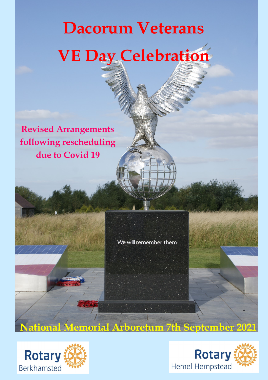## **Dacorum Veterans VE Day Celebration**

**Revised Arrangements following rescheduling due to Covid 19** 

We will remember them

**National Memorial Arboretum 7th September 2021**